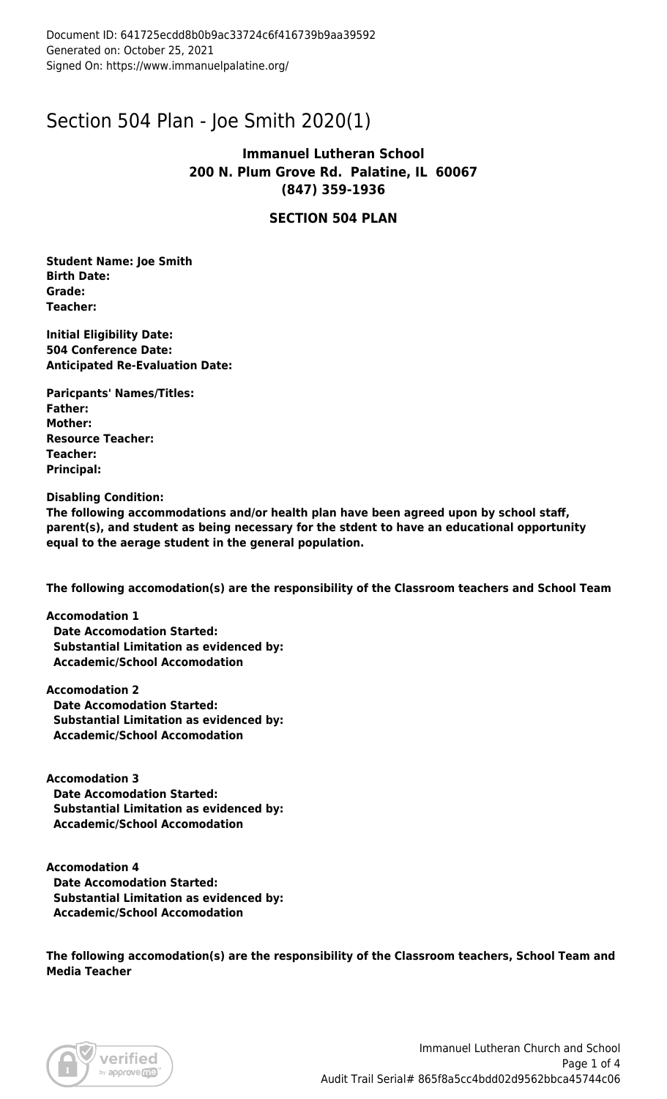### Section 504 Plan - Joe Smith 2020(1)

### **Immanuel Lutheran School 200 N. Plum Grove Rd. Palatine, IL 60067 (847) 359-1936**

### **SECTION 504 PLAN**

**Student Name: Joe Smith Birth Date: Grade: Teacher:** 

**Initial Eligibility Date: 504 Conference Date: Anticipated Re-Evaluation Date:** 

**Paricpants' Names/Titles: Father: Mother: Resource Teacher: Teacher: Principal:** 

**Disabling Condition:**

**The following accommodations and/or health plan have been agreed upon by school staff, parent(s), and student as being necessary for the stdent to have an educational opportunity equal to the aerage student in the general population.**

**The following accomodation(s) are the responsibility of the Classroom teachers and School Team**

**Accomodation 1 Date Accomodation Started: Substantial Limitation as evidenced by: Accademic/School Accomodation**

**Accomodation 2 Date Accomodation Started: Substantial Limitation as evidenced by: Accademic/School Accomodation**

**Accomodation 3 Date Accomodation Started: Substantial Limitation as evidenced by: Accademic/School Accomodation**

**Accomodation 4 Date Accomodation Started: Substantial Limitation as evidenced by: Accademic/School Accomodation**

**The following accomodation(s) are the responsibility of the Classroom teachers, School Team and Media Teacher**

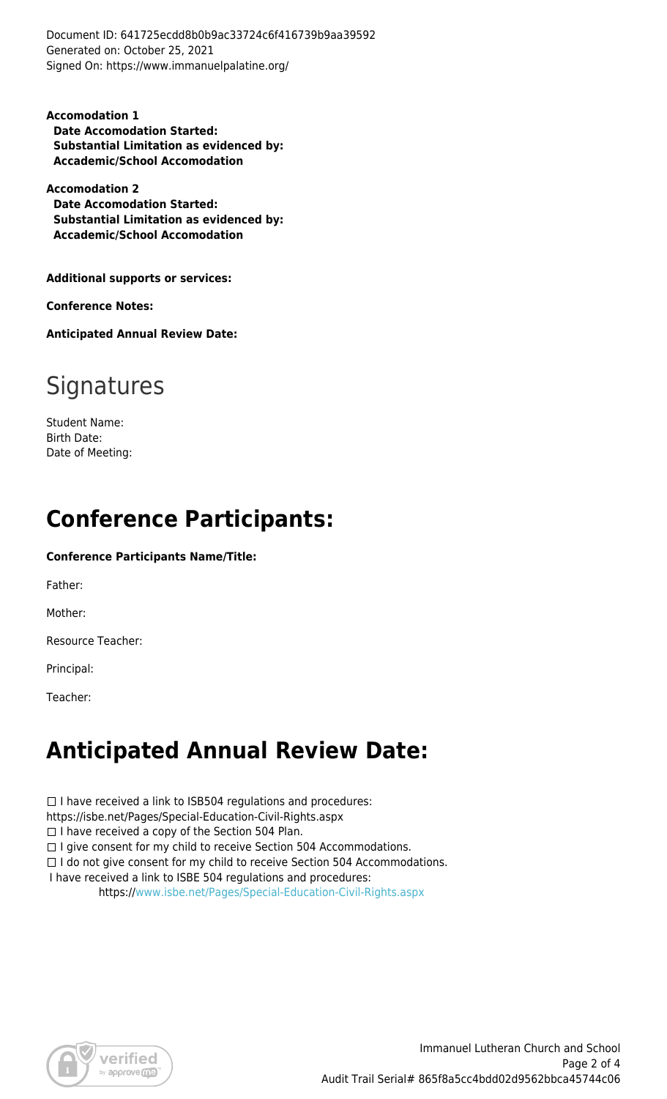Document ID: 641725ecdd8b0b9ac33724c6f416739b9aa39592 Generated on: October 25, 2021 Signed On: https://www.immanuelpalatine.org/

**Accomodation 1 Date Accomodation Started: Substantial Limitation as evidenced by: Accademic/School Accomodation**

**Accomodation 2 Date Accomodation Started: Substantial Limitation as evidenced by: Accademic/School Accomodation**

**Additional supports or services:** 

**Conference Notes:** 

**Anticipated Annual Review Date:** 

# **Signatures**

Student Name: Birth Date: Date of Meeting:

# **Conference Participants:**

#### **Conference Participants Name/Title:**

Father:

Mother:

Resource Teacher:

Principal:

Teacher:

### **Anticipated Annual Review Date:**

 $\Box$  I have received a link to ISB504 regulations and procedures:

https://isbe.net/Pages/Special-Education-Civil-Rights.aspx

 $\Box$  I have received a copy of the Section 504 Plan.

 $\Box$  I give consent for my child to receive Section 504 Accommodations.

 $\Box$  I do not give consent for my child to receive Section 504 Accommodations.

I have received a link to ISBE 504 regulations and procedures:

https:/[/www.isbe.net/Pages/Special-Education-Civil-Rights.aspx](http://www.isbe.net/Pages/Special-Education-Civil-Rights.aspx)

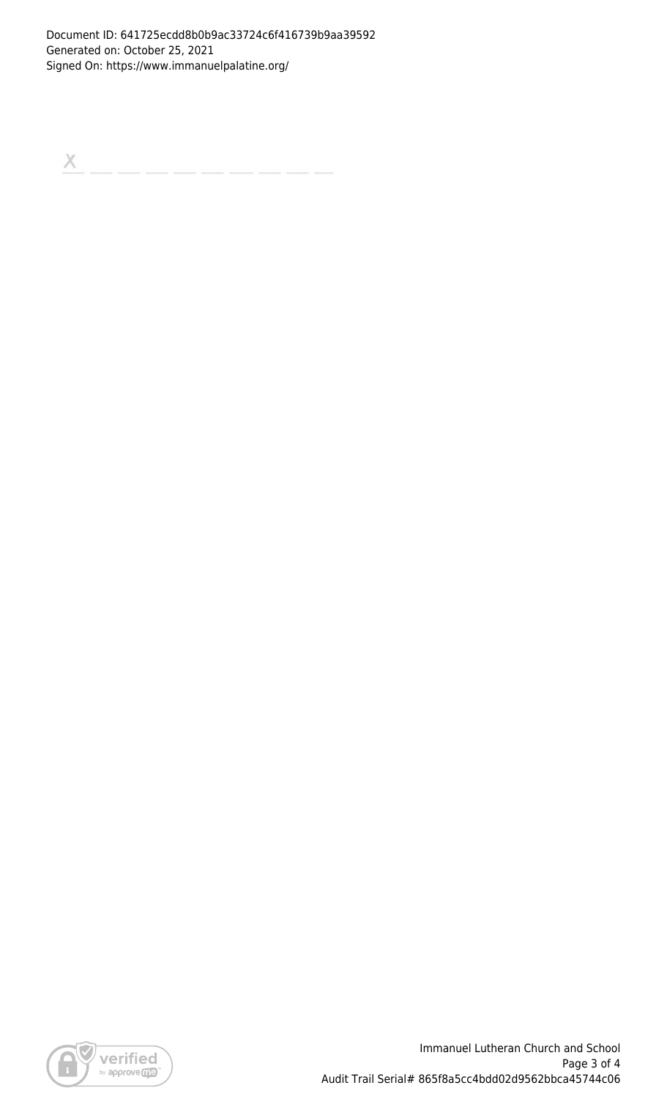$\boldsymbol{\times}$